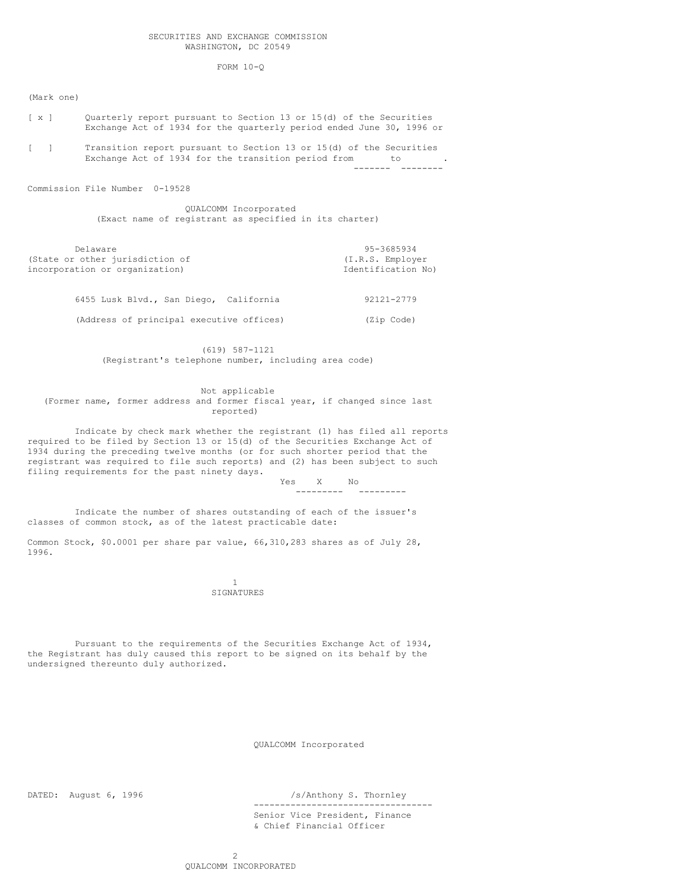FORM 10-Q

(Mark one)

[ x ] Quarterly report pursuant to Section 13 or 15(d) of the Securities Exchange Act of 1934 for the quarterly period ended June 30, 1996 or [ ] Transition report pursuant to Section 13 or 15(d) of the Securities Exchange Act of 1934 for the transition period from to  $\cdot$ ------- --------

Commission File Number 0-19528

QUALCOMM Incorporated (Exact name of registrant as specified in its charter)

| Delaware                        | 95-3685934         |
|---------------------------------|--------------------|
| (State or other jurisdiction of | (I.R.S. Employer   |
| incorporation or organization)  | Identification No) |
|                                 |                    |

|  |  | 6455 Lusk Blvd., San Diego, California   | 92121-2779 |
|--|--|------------------------------------------|------------|
|  |  | (Address of principal executive offices) | (Zip Code) |

(619) 587-1121 (Registrant's telephone number, including area code)

Not applicable (Former name, former address and former fiscal year, if changed since last reported)

Indicate by check mark whether the registrant (1) has filed all reports required to be filed by Section 13 or 15(d) of the Securities Exchange Act of 1934 during the preceding twelve months (or for such shorter period that the registrant was required to file such reports) and (2) has been subject to such filing requirements for the past ninety days.

Yes X No --------- ---------

Indicate the number of shares outstanding of each of the issuer's classes of common stock, as of the latest practicable date:

Common Stock, \$0.0001 per share par value, 66,310,283 shares as of July 28, 1996.

> 1 SIGNATURES

Pursuant to the requirements of the Securities Exchange Act of 1934, the Registrant has duly caused this report to be signed on its behalf by the undersigned thereunto duly authorized.

QUALCOMM Incorporated

DATED: August 6, 1996 /s/Anthony S. Thornley

----------------------------------

Senior Vice President, Finance & Chief Financial Officer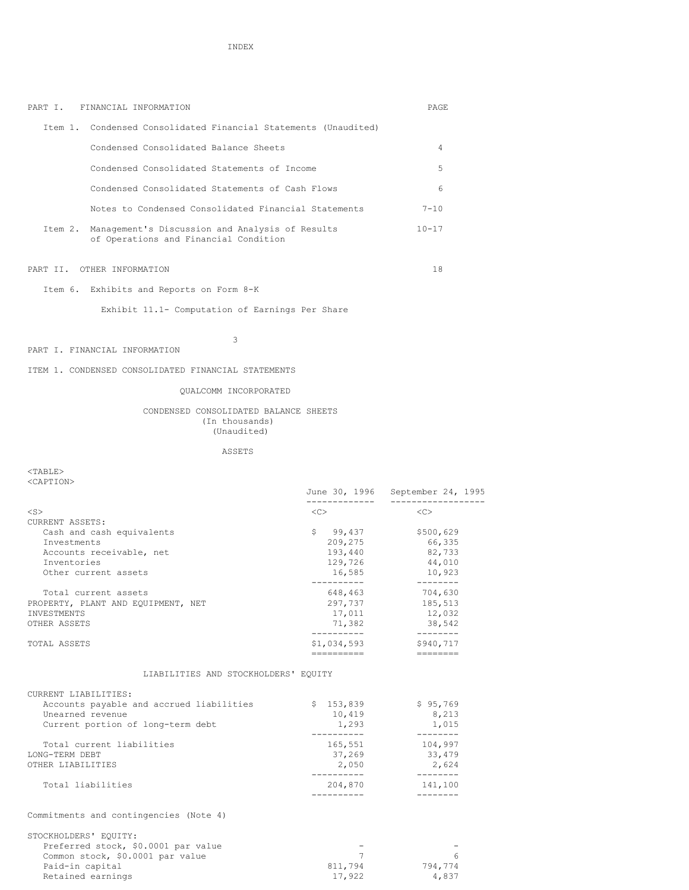PART I. FINANCIAL INFORMATION PAGE

| Item 1. Condensed Consolidated Financial Statements (Unaudited)                                  |                                     |                                  |
|--------------------------------------------------------------------------------------------------|-------------------------------------|----------------------------------|
| Condensed Consolidated Balance Sheets                                                            |                                     | 4                                |
| Condensed Consolidated Statements of Income                                                      |                                     | 5                                |
| Condensed Consolidated Statements of Cash Flows                                                  |                                     | 6                                |
| Notes to Condensed Consolidated Financial Statements                                             |                                     | $7 - 10$                         |
| Item 2. Management's Discussion and Analysis of Results<br>of Operations and Financial Condition |                                     | $10 - 17$                        |
| PART II. OTHER INFORMATION                                                                       |                                     | 18                               |
| Item 6. Exhibits and Reports on Form 8-K                                                         |                                     |                                  |
| Exhibit 11.1- Computation of Earnings Per Share                                                  |                                     |                                  |
| 3                                                                                                |                                     |                                  |
| PART I. FINANCIAL INFORMATION                                                                    |                                     |                                  |
| ITEM 1. CONDENSED CONSOLIDATED FINANCIAL STATEMENTS                                              |                                     |                                  |
| OUALCOMM INCORPORATED                                                                            |                                     |                                  |
| CONDENSED CONSOLIDATED BALANCE SHEETS<br>(In thousands)<br>(Unaudited)                           |                                     |                                  |
| ASSETS                                                                                           |                                     |                                  |
| $<$ TABLE $>$<br><caption></caption>                                                             |                                     | June 30, 1996 September 24, 1995 |
|                                                                                                  | -------------                       | ___________________              |
| $<$ S $>$<br>CURRENT ASSETS:                                                                     | $<<$ $>$                            | < <c></c>                        |
| Cash and cash equivalents<br>Investments                                                         | \$99,437<br>209,275                 | \$500,629<br>66,335              |
| Accounts receivable, net                                                                         | 193,440                             | 82,733                           |
| Inventories<br>Other current assets                                                              | 129,726<br>16,585                   | 44,010<br>10,923                 |
|                                                                                                  | -----------                         | ---------                        |
| Total current assets<br>PROPERTY, PLANT AND EQUIPMENT, NET                                       | 648,463<br>297,737                  | 704,630<br>185,513               |
| INVESTMENTS                                                                                      | 17,011                              | 12,032                           |
| OTHER ASSETS                                                                                     | 71,382<br>----------                | 38,542<br>--------               |
| TOTAL ASSETS                                                                                     | \$1,034,593                         | \$940,717                        |
| LIABILITIES AND STOCKHOLDERS' EQUITY                                                             |                                     |                                  |
| CURRENT LIABILITIES:                                                                             |                                     |                                  |
| Accounts payable and accrued liabilities                                                         | \$153,839                           | \$95,769                         |
| Unearned revenue<br>Current portion of long-term debt                                            | 10,419<br>1,293                     | 8,213<br>1,015                   |
|                                                                                                  | __________                          | --------                         |
| Total current liabilities<br>LONG-TERM DEBT                                                      | 165,551<br>37,269                   | 104,997<br>33,479                |
| OTHER LIABILITIES                                                                                | 2,050                               | 2,624                            |
| Total liabilities                                                                                | ----------<br>204,870<br>---------- | --------<br>141,100<br>--------  |
| Commitments and contingencies (Note 4)                                                           |                                     |                                  |
| STOCKHOLDERS' EQUITY:                                                                            |                                     |                                  |
| Preferred stock, \$0.0001 par value<br>Common stock, \$0.0001 par value                          | 7                                   | 6                                |

Paid-in capital 611,794 794,774 Retained earnings and the set of the set of the set of the set of the set of the set of the set of the set of t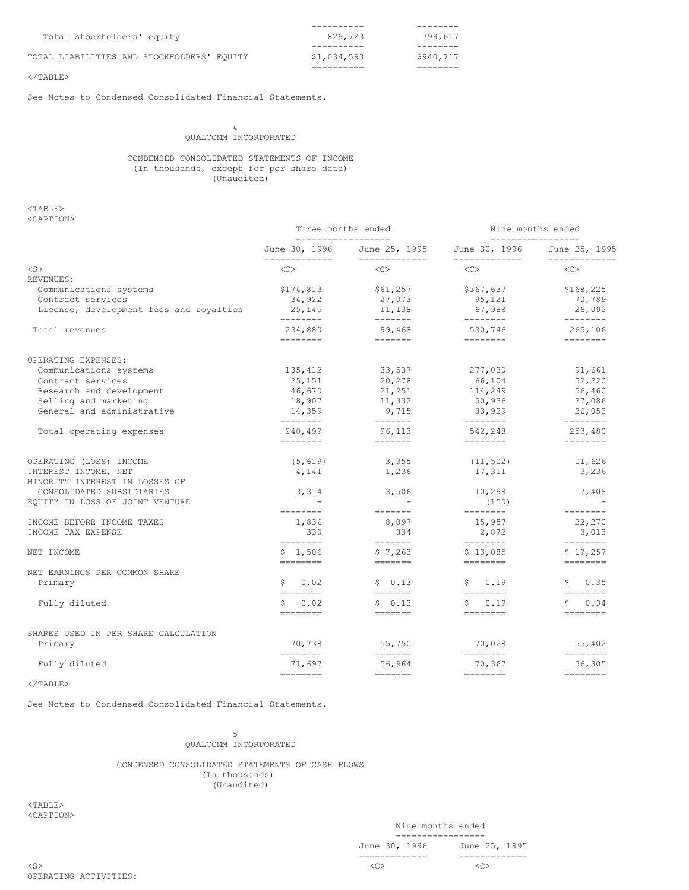| Total stockholders' equity                 | 829,723     | 799.617   |
|--------------------------------------------|-------------|-----------|
|                                            |             |           |
| TOTAL LIABILITIES AND STOCKHOLDERS' EQUITY | \$1,034,593 | \$940.717 |
|                                            |             |           |
|                                            |             |           |

 $<$ /TABLE>

See Notes to Condensed Consolidated Financial Statements.

4 QUALCOMM INCORPORATED

CONDENSED CONSOLIDATED STATEMENTS OF INCOME (In thousands, except for per share data) (Unaudited)

<TABLE>

| <caption></caption>                                    |                                                                                                                                                                                                                                                                                                                                                                                                                                                                                                                                                                                                                                                                                                                                          |                                                                                                                                                                                                                                                                                                                                                                                                                                                                                                                                                                      |                                                                                                                                                                                                                                                                                                                                                                                                                                                                                                                                                            |                                                                                                                                                                                                                                                                                                                                                                                                                                                                                                                                                                      |  |
|--------------------------------------------------------|------------------------------------------------------------------------------------------------------------------------------------------------------------------------------------------------------------------------------------------------------------------------------------------------------------------------------------------------------------------------------------------------------------------------------------------------------------------------------------------------------------------------------------------------------------------------------------------------------------------------------------------------------------------------------------------------------------------------------------------|----------------------------------------------------------------------------------------------------------------------------------------------------------------------------------------------------------------------------------------------------------------------------------------------------------------------------------------------------------------------------------------------------------------------------------------------------------------------------------------------------------------------------------------------------------------------|------------------------------------------------------------------------------------------------------------------------------------------------------------------------------------------------------------------------------------------------------------------------------------------------------------------------------------------------------------------------------------------------------------------------------------------------------------------------------------------------------------------------------------------------------------|----------------------------------------------------------------------------------------------------------------------------------------------------------------------------------------------------------------------------------------------------------------------------------------------------------------------------------------------------------------------------------------------------------------------------------------------------------------------------------------------------------------------------------------------------------------------|--|
|                                                        | Three months ended<br>__________________                                                                                                                                                                                                                                                                                                                                                                                                                                                                                                                                                                                                                                                                                                 |                                                                                                                                                                                                                                                                                                                                                                                                                                                                                                                                                                      |                                                                                                                                                                                                                                                                                                                                                                                                                                                                                                                                                            | Nine months ended<br>-----------------                                                                                                                                                                                                                                                                                                                                                                                                                                                                                                                               |  |
|                                                        | June 30, 1996<br>-------------                                                                                                                                                                                                                                                                                                                                                                                                                                                                                                                                                                                                                                                                                                           | June 25, 1995<br>-------------                                                                                                                                                                                                                                                                                                                                                                                                                                                                                                                                       | June 30, 1996<br>-------------                                                                                                                                                                                                                                                                                                                                                                                                                                                                                                                             | June 25, 1995<br>-------------                                                                                                                                                                                                                                                                                                                                                                                                                                                                                                                                       |  |
| $<$ S $>$                                              | $<<$ $>>$                                                                                                                                                                                                                                                                                                                                                                                                                                                                                                                                                                                                                                                                                                                                | < <sub></sub>                                                                                                                                                                                                                                                                                                                                                                                                                                                                                                                                                        | $<<$ $>>$                                                                                                                                                                                                                                                                                                                                                                                                                                                                                                                                                  | < <sub></sub>                                                                                                                                                                                                                                                                                                                                                                                                                                                                                                                                                        |  |
| REVENUES:                                              |                                                                                                                                                                                                                                                                                                                                                                                                                                                                                                                                                                                                                                                                                                                                          |                                                                                                                                                                                                                                                                                                                                                                                                                                                                                                                                                                      |                                                                                                                                                                                                                                                                                                                                                                                                                                                                                                                                                            |                                                                                                                                                                                                                                                                                                                                                                                                                                                                                                                                                                      |  |
| Communications systems                                 | \$174,813                                                                                                                                                                                                                                                                                                                                                                                                                                                                                                                                                                                                                                                                                                                                | \$61,257                                                                                                                                                                                                                                                                                                                                                                                                                                                                                                                                                             | \$367,637                                                                                                                                                                                                                                                                                                                                                                                                                                                                                                                                                  | \$168,225                                                                                                                                                                                                                                                                                                                                                                                                                                                                                                                                                            |  |
| Contract services                                      | 34,922                                                                                                                                                                                                                                                                                                                                                                                                                                                                                                                                                                                                                                                                                                                                   | 27,073                                                                                                                                                                                                                                                                                                                                                                                                                                                                                                                                                               | 95,121                                                                                                                                                                                                                                                                                                                                                                                                                                                                                                                                                     | 70,789                                                                                                                                                                                                                                                                                                                                                                                                                                                                                                                                                               |  |
| License, development fees and royalties                | 25,145<br>--------                                                                                                                                                                                                                                                                                                                                                                                                                                                                                                                                                                                                                                                                                                                       | 11,138                                                                                                                                                                                                                                                                                                                                                                                                                                                                                                                                                               | 67,988<br>$- - - - - - - -$                                                                                                                                                                                                                                                                                                                                                                                                                                                                                                                                | 26,092<br>$- - - - - - - -$                                                                                                                                                                                                                                                                                                                                                                                                                                                                                                                                          |  |
| Total revenues                                         | 234,880                                                                                                                                                                                                                                                                                                                                                                                                                                                                                                                                                                                                                                                                                                                                  | 99,468                                                                                                                                                                                                                                                                                                                                                                                                                                                                                                                                                               | 530,746                                                                                                                                                                                                                                                                                                                                                                                                                                                                                                                                                    | 265,106                                                                                                                                                                                                                                                                                                                                                                                                                                                                                                                                                              |  |
|                                                        | $- - - - - - - -$                                                                                                                                                                                                                                                                                                                                                                                                                                                                                                                                                                                                                                                                                                                        | $- - - - - - -$                                                                                                                                                                                                                                                                                                                                                                                                                                                                                                                                                      | $- - - - - - - -$                                                                                                                                                                                                                                                                                                                                                                                                                                                                                                                                          | $- - - - - - - -$                                                                                                                                                                                                                                                                                                                                                                                                                                                                                                                                                    |  |
| OPERATING EXPENSES:                                    |                                                                                                                                                                                                                                                                                                                                                                                                                                                                                                                                                                                                                                                                                                                                          |                                                                                                                                                                                                                                                                                                                                                                                                                                                                                                                                                                      |                                                                                                                                                                                                                                                                                                                                                                                                                                                                                                                                                            |                                                                                                                                                                                                                                                                                                                                                                                                                                                                                                                                                                      |  |
| Communications systems                                 | 135,412                                                                                                                                                                                                                                                                                                                                                                                                                                                                                                                                                                                                                                                                                                                                  | 33,537                                                                                                                                                                                                                                                                                                                                                                                                                                                                                                                                                               | 277,030                                                                                                                                                                                                                                                                                                                                                                                                                                                                                                                                                    | 91,661                                                                                                                                                                                                                                                                                                                                                                                                                                                                                                                                                               |  |
| Contract services                                      | 25,151                                                                                                                                                                                                                                                                                                                                                                                                                                                                                                                                                                                                                                                                                                                                   | 20,278                                                                                                                                                                                                                                                                                                                                                                                                                                                                                                                                                               | 66,104                                                                                                                                                                                                                                                                                                                                                                                                                                                                                                                                                     | 52,220                                                                                                                                                                                                                                                                                                                                                                                                                                                                                                                                                               |  |
| Research and development                               | 46,670                                                                                                                                                                                                                                                                                                                                                                                                                                                                                                                                                                                                                                                                                                                                   | 21,251                                                                                                                                                                                                                                                                                                                                                                                                                                                                                                                                                               | 114,249                                                                                                                                                                                                                                                                                                                                                                                                                                                                                                                                                    | 56,460                                                                                                                                                                                                                                                                                                                                                                                                                                                                                                                                                               |  |
| Selling and marketing                                  | 18,907                                                                                                                                                                                                                                                                                                                                                                                                                                                                                                                                                                                                                                                                                                                                   | 11,332                                                                                                                                                                                                                                                                                                                                                                                                                                                                                                                                                               | 50,936                                                                                                                                                                                                                                                                                                                                                                                                                                                                                                                                                     | 27,086                                                                                                                                                                                                                                                                                                                                                                                                                                                                                                                                                               |  |
| General and administrative                             | 14,359<br>$- - - - - - - -$                                                                                                                                                                                                                                                                                                                                                                                                                                                                                                                                                                                                                                                                                                              | 9,715<br>$- - - - - - -$                                                                                                                                                                                                                                                                                                                                                                                                                                                                                                                                             | 33,929<br>$- - - - - - - -$                                                                                                                                                                                                                                                                                                                                                                                                                                                                                                                                | 26,053<br>$- - - - - - - -$                                                                                                                                                                                                                                                                                                                                                                                                                                                                                                                                          |  |
| Total operating expenses                               | 240,499<br>$- - - - - - - -$                                                                                                                                                                                                                                                                                                                                                                                                                                                                                                                                                                                                                                                                                                             | 96,113                                                                                                                                                                                                                                                                                                                                                                                                                                                                                                                                                               | 542,248<br>$- - - - - - - -$                                                                                                                                                                                                                                                                                                                                                                                                                                                                                                                               | 253,480<br>--------                                                                                                                                                                                                                                                                                                                                                                                                                                                                                                                                                  |  |
|                                                        |                                                                                                                                                                                                                                                                                                                                                                                                                                                                                                                                                                                                                                                                                                                                          |                                                                                                                                                                                                                                                                                                                                                                                                                                                                                                                                                                      |                                                                                                                                                                                                                                                                                                                                                                                                                                                                                                                                                            |                                                                                                                                                                                                                                                                                                                                                                                                                                                                                                                                                                      |  |
| OPERATING (LOSS) INCOME                                | (5, 619)                                                                                                                                                                                                                                                                                                                                                                                                                                                                                                                                                                                                                                                                                                                                 | 3,355                                                                                                                                                                                                                                                                                                                                                                                                                                                                                                                                                                | (11, 502)                                                                                                                                                                                                                                                                                                                                                                                                                                                                                                                                                  | 11,626                                                                                                                                                                                                                                                                                                                                                                                                                                                                                                                                                               |  |
| INTEREST INCOME, NET<br>MINORITY INTEREST IN LOSSES OF | 4,141                                                                                                                                                                                                                                                                                                                                                                                                                                                                                                                                                                                                                                                                                                                                    | 1,236                                                                                                                                                                                                                                                                                                                                                                                                                                                                                                                                                                | 17,311                                                                                                                                                                                                                                                                                                                                                                                                                                                                                                                                                     | 3,236                                                                                                                                                                                                                                                                                                                                                                                                                                                                                                                                                                |  |
| CONSOLIDATED SUBSIDIARIES                              | 3,314                                                                                                                                                                                                                                                                                                                                                                                                                                                                                                                                                                                                                                                                                                                                    | 3,506                                                                                                                                                                                                                                                                                                                                                                                                                                                                                                                                                                | 10,298                                                                                                                                                                                                                                                                                                                                                                                                                                                                                                                                                     | 7,408                                                                                                                                                                                                                                                                                                                                                                                                                                                                                                                                                                |  |
| EQUITY IN LOSS OF JOINT VENTURE                        | ---------                                                                                                                                                                                                                                                                                                                                                                                                                                                                                                                                                                                                                                                                                                                                | --------                                                                                                                                                                                                                                                                                                                                                                                                                                                                                                                                                             | (150)<br>$- - - - - - - -$                                                                                                                                                                                                                                                                                                                                                                                                                                                                                                                                 | $- - - - - - - -$                                                                                                                                                                                                                                                                                                                                                                                                                                                                                                                                                    |  |
| INCOME BEFORE INCOME TAXES                             | 1,836                                                                                                                                                                                                                                                                                                                                                                                                                                                                                                                                                                                                                                                                                                                                    | 8,097                                                                                                                                                                                                                                                                                                                                                                                                                                                                                                                                                                | 15,957                                                                                                                                                                                                                                                                                                                                                                                                                                                                                                                                                     | 22,270                                                                                                                                                                                                                                                                                                                                                                                                                                                                                                                                                               |  |
| INCOME TAX EXPENSE                                     | 330                                                                                                                                                                                                                                                                                                                                                                                                                                                                                                                                                                                                                                                                                                                                      | 834                                                                                                                                                                                                                                                                                                                                                                                                                                                                                                                                                                  | 2,872                                                                                                                                                                                                                                                                                                                                                                                                                                                                                                                                                      | 3,013                                                                                                                                                                                                                                                                                                                                                                                                                                                                                                                                                                |  |
| NET INCOME                                             | --------<br>\$1,506                                                                                                                                                                                                                                                                                                                                                                                                                                                                                                                                                                                                                                                                                                                      | \$7,263                                                                                                                                                                                                                                                                                                                                                                                                                                                                                                                                                              | $- - - - - - - -$<br>\$13,085                                                                                                                                                                                                                                                                                                                                                                                                                                                                                                                              | --------<br>\$19,257                                                                                                                                                                                                                                                                                                                                                                                                                                                                                                                                                 |  |
| NET EARNINGS PER COMMON SHARE                          | ========                                                                                                                                                                                                                                                                                                                                                                                                                                                                                                                                                                                                                                                                                                                                 | $\begin{tabular}{ll} \multicolumn{2}{l}{} & \multicolumn{2}{l}{} & \multicolumn{2}{l}{} \\ \multicolumn{2}{l}{} & \multicolumn{2}{l}{} & \multicolumn{2}{l}{} \\ \multicolumn{2}{l}{} & \multicolumn{2}{l}{} & \multicolumn{2}{l}{} \\ \multicolumn{2}{l}{} & \multicolumn{2}{l}{} & \multicolumn{2}{l}{} \\ \multicolumn{2}{l}{} & \multicolumn{2}{l}{} & \multicolumn{2}{l}{} \\ \multicolumn{2}{l}{} & \multicolumn{2}{l}{} & \multicolumn{2}{l}{} \\ \multicolumn{2}{l}{} & \multic$                                                                             | $\begin{tabular}{ll} \multicolumn{2}{l}{{\color{red}\boldsymbol{=}}} & \multicolumn{2}{l}{\color{blue}\boldsymbol{=}} & \multicolumn{2}{l}{\color{blue}\boldsymbol{=}} & \multicolumn{2}{l}{\color{blue}\boldsymbol{=}} & \multicolumn{2}{l}{\color{blue}\boldsymbol{=}} & \multicolumn{2}{l}{\color{blue}\boldsymbol{=}} & \multicolumn{2}{l}{\color{blue}\boldsymbol{=}} & \multicolumn{2}{l}{\color{blue}\boldsymbol{=}} & \multicolumn{2}{l}{\color{blue}\boldsymbol{=}} & \multicolumn{2}{l}{\color{blue}\boldsymbol{=}} & \multicolumn{2}{l}{\color$ | $=$ ========                                                                                                                                                                                                                                                                                                                                                                                                                                                                                                                                                         |  |
|                                                        | \$<br>0.02                                                                                                                                                                                                                                                                                                                                                                                                                                                                                                                                                                                                                                                                                                                               | \$0.13                                                                                                                                                                                                                                                                                                                                                                                                                                                                                                                                                               | 0.19<br>S.                                                                                                                                                                                                                                                                                                                                                                                                                                                                                                                                                 | 0.35                                                                                                                                                                                                                                                                                                                                                                                                                                                                                                                                                                 |  |
| Primary                                                | $\qquad \qquad \Rightarrow \qquad \qquad \Rightarrow \qquad \qquad \Rightarrow \qquad \qquad \Rightarrow \qquad \qquad \Rightarrow \qquad \qquad \Rightarrow \qquad \qquad \Rightarrow \qquad \qquad \Rightarrow \qquad \qquad \Rightarrow \qquad \qquad \Rightarrow \qquad \qquad \Rightarrow \qquad \qquad \Rightarrow \qquad \qquad \Rightarrow \qquad \qquad \Rightarrow \qquad \qquad \Rightarrow \qquad \qquad \Rightarrow \qquad \qquad \Rightarrow \qquad \qquad \Rightarrow \qquad \qquad \Rightarrow \qquad \qquad \Rightarrow \qquad \qquad \Rightarrow \qquad \qquad \Rightarrow \qquad \qquad \Rightarrow \qquad \qquad \Rightarrow \qquad \qquad \Rightarrow \qquad \qquad \Rightarrow \qquad \qquad \Rightarrow \qquad \$ |                                                                                                                                                                                                                                                                                                                                                                                                                                                                                                                                                                      |                                                                                                                                                                                                                                                                                                                                                                                                                                                                                                                                                            | \$<br>$\begin{tabular}{ll} \multicolumn{3}{l}{{\color{red}\boldsymbol{=}}} & \multicolumn{3}{l}{\color{blue}\boldsymbol{=}} & \multicolumn{3}{l}{\color{blue}\boldsymbol{=}} & \multicolumn{3}{l}{\color{blue}\boldsymbol{=}} & \multicolumn{3}{l}{\color{blue}\boldsymbol{=}} & \multicolumn{3}{l}{\color{blue}\boldsymbol{=}} & \multicolumn{3}{l}{\color{blue}\boldsymbol{=}} & \multicolumn{3}{l}{\color{blue}\boldsymbol{=}} & \multicolumn{3}{l}{\color{blue}\boldsymbol{=}} & \multicolumn{3}{l}{\color{blue}\boldsymbol{=}} & \multicolumn{3}{l}{\color$     |  |
| Fully diluted                                          | S.<br>0.02<br>---------                                                                                                                                                                                                                                                                                                                                                                                                                                                                                                                                                                                                                                                                                                                  | \$0.13<br>$\begin{tabular}{ll} \multicolumn{2}{l}{{\color{red}\boldsymbol{=}}} & \multicolumn{2}{l}{\color{blue}\boldsymbol{=}} & \multicolumn{2}{l}{\color{blue}\boldsymbol{=}} & \multicolumn{2}{l}{\color{blue}\boldsymbol{=}} & \multicolumn{2}{l}{\color{blue}\boldsymbol{=}} & \multicolumn{2}{l}{\color{blue}\boldsymbol{=}} & \multicolumn{2}{l}{\color{blue}\boldsymbol{=}} & \multicolumn{2}{l}{\color{blue}\boldsymbol{=}} & \multicolumn{2}{l}{\color{blue}\boldsymbol{=}} & \multicolumn{2}{l}{\color{blue}\boldsymbol{=}} & \multicolumn{2}{l}{\color$ | S.<br>0.19                                                                                                                                                                                                                                                                                                                                                                                                                                                                                                                                                 | S.<br>0.34<br>========                                                                                                                                                                                                                                                                                                                                                                                                                                                                                                                                               |  |
|                                                        |                                                                                                                                                                                                                                                                                                                                                                                                                                                                                                                                                                                                                                                                                                                                          |                                                                                                                                                                                                                                                                                                                                                                                                                                                                                                                                                                      |                                                                                                                                                                                                                                                                                                                                                                                                                                                                                                                                                            |                                                                                                                                                                                                                                                                                                                                                                                                                                                                                                                                                                      |  |
| SHARES USED IN PER SHARE CALCULATION                   |                                                                                                                                                                                                                                                                                                                                                                                                                                                                                                                                                                                                                                                                                                                                          |                                                                                                                                                                                                                                                                                                                                                                                                                                                                                                                                                                      |                                                                                                                                                                                                                                                                                                                                                                                                                                                                                                                                                            |                                                                                                                                                                                                                                                                                                                                                                                                                                                                                                                                                                      |  |
| Primary                                                | 70,738<br>========                                                                                                                                                                                                                                                                                                                                                                                                                                                                                                                                                                                                                                                                                                                       | 55,750                                                                                                                                                                                                                                                                                                                                                                                                                                                                                                                                                               | 70,028                                                                                                                                                                                                                                                                                                                                                                                                                                                                                                                                                     | 55,402<br>$\begin{tabular}{ll} \multicolumn{3}{l}{{\color{red}\boldsymbol{=}}} & \multicolumn{3}{l}{\color{blue}\boldsymbol{=}} & \multicolumn{3}{l}{\color{blue}\boldsymbol{=}} & \multicolumn{3}{l}{\color{blue}\boldsymbol{=}} & \multicolumn{3}{l}{\color{blue}\boldsymbol{=}} & \multicolumn{3}{l}{\color{blue}\boldsymbol{=}} & \multicolumn{3}{l}{\color{blue}\boldsymbol{=}} & \multicolumn{3}{l}{\color{blue}\boldsymbol{=}} & \multicolumn{3}{l}{\color{blue}\boldsymbol{=}} & \multicolumn{3}{l}{\color{blue}\boldsymbol{=}} & \multicolumn{3}{l}{\color$ |  |
| Fully diluted                                          | 71,697                                                                                                                                                                                                                                                                                                                                                                                                                                                                                                                                                                                                                                                                                                                                   | 56,964                                                                                                                                                                                                                                                                                                                                                                                                                                                                                                                                                               | 70,367                                                                                                                                                                                                                                                                                                                                                                                                                                                                                                                                                     | 56,305                                                                                                                                                                                                                                                                                                                                                                                                                                                                                                                                                               |  |
|                                                        | ========                                                                                                                                                                                                                                                                                                                                                                                                                                                                                                                                                                                                                                                                                                                                 |                                                                                                                                                                                                                                                                                                                                                                                                                                                                                                                                                                      |                                                                                                                                                                                                                                                                                                                                                                                                                                                                                                                                                            | $\begin{tabular}{ll} \multicolumn{3}{l}{{\color{red}\boldsymbol{=}}} & \multicolumn{3}{l}{\color{blue}\boldsymbol{=}} & \multicolumn{3}{l}{\color{blue}\boldsymbol{=}} & \multicolumn{3}{l}{\color{blue}\boldsymbol{=}} & \multicolumn{3}{l}{\color{blue}\boldsymbol{=}} & \multicolumn{3}{l}{\color{blue}\boldsymbol{=}} & \multicolumn{3}{l}{\color{blue}\boldsymbol{=}} & \multicolumn{3}{l}{\color{blue}\boldsymbol{=}} & \multicolumn{3}{l}{\color{blue}\boldsymbol{=}} & \multicolumn{3}{l}{\color{blue}\boldsymbol{=}} & \multicolumn{3}{l}{\color$           |  |

 $<$ /TABLE $>$ 

See Notes to Condensed Consolidated Financial Statements.

5 QUALCOMM INCORPORATED

CONDENSED CONSOLIDATED STATEMENTS OF CASH FLOWS (In thousands) (Unaudited)

<TABLE> <CAPTION>

|               |  | Nine months ended |  |               |
|---------------|--|-------------------|--|---------------|
|               |  |                   |  |               |
| June 30, 1996 |  |                   |  | June 25, 1995 |
|               |  |                   |  |               |
|               |  |                   |  |               |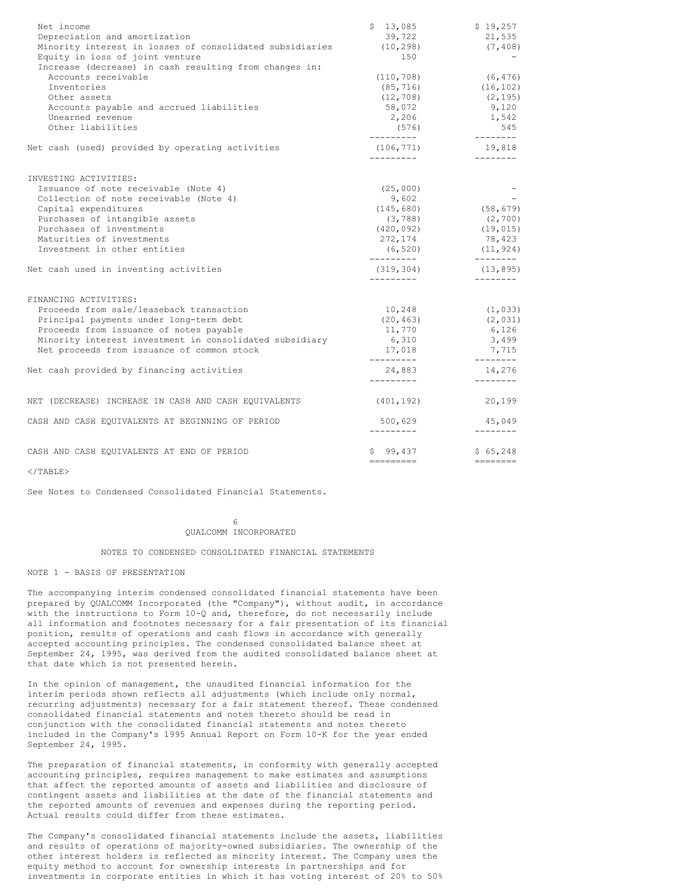| Net income<br>Depreciation and amortization<br>Minority interest in losses of consolidated subsidiaries<br>Equity in loss of joint venture                                                                                                                       | \$13,085<br>39,722<br>(10, 298)<br>150                                           | \$19,257<br>21,535<br>(7, 408)                                       |
|------------------------------------------------------------------------------------------------------------------------------------------------------------------------------------------------------------------------------------------------------------------|----------------------------------------------------------------------------------|----------------------------------------------------------------------|
| Increase (decrease) in cash resulting from changes in:<br>Accounts receivable<br>Inventories<br>Other assets<br>Accounts payable and accrued liabilities<br>Unearned revenue<br>Other liabilities                                                                | (110, 708)<br>(85, 716)<br>(12, 708)<br>58,072<br>2,206<br>(576)                 | (6, 476)<br>(16, 102)<br>(2, 195)<br>9,120<br>1,542<br>545           |
| Net cash (used) provided by operating activities                                                                                                                                                                                                                 | ----------<br>(106, 771)<br>----------                                           | $- - - - - - - -$<br>19,818<br>$- - - - - - - -$                     |
| INVESTING ACTIVITIES:<br>Issuance of note receivable (Note 4)<br>Collection of note receivable (Note 4)<br>Capital expenditures<br>Purchases of intangible assets<br>Purchases of investments<br>Maturities of investments<br>Investment in other entities       | (25,000)<br>9,602<br>(145, 680)<br>(3, 788)<br>(420, 092)<br>272,174<br>(6, 520) | (58, 679)<br>(2, 700)<br>(19, 015)<br>78,423<br>(11, 924)            |
| Net cash used in investing activities                                                                                                                                                                                                                            | -----------<br>(319, 304)<br>----------                                          | --------<br>(13, 895)<br>--------                                    |
| FINANCING ACTIVITIES:<br>Proceeds from sale/leaseback transaction<br>Principal payments under long-term debt<br>Proceeds from issuance of notes payable<br>Minority interest investment in consolidated subsidiary<br>Net proceeds from issuance of common stock | 10,248<br>(20, 463)<br>11,770<br>6,310<br>17,018<br>----------                   | (1, 033)<br>(2, 031)<br>6,126<br>3,499<br>7,715<br>$- - - - - - - -$ |
| Net cash provided by financing activities                                                                                                                                                                                                                        | 24,883<br>----------                                                             | 14,276<br>$- - - - - - - -$                                          |
| NET (DECREASE) INCREASE IN CASH AND CASH EQUIVALENTS                                                                                                                                                                                                             | (401, 192)                                                                       | 20,199                                                               |
| CASH AND CASH EQUIVALENTS AT BEGINNING OF PERIOD                                                                                                                                                                                                                 | 500,629<br>----------                                                            | 45,049<br>$- - - - - - - -$                                          |
| CASH AND CASH EQUIVALENTS AT END OF PERIOD                                                                                                                                                                                                                       | \$99,437<br>----------                                                           | \$65,248<br>$=$ ========                                             |

 $<$ /TABLE>

See Notes to Condensed Consolidated Financial Statements.

6 QUALCOMM INCORPORATED

### NOTES TO CONDENSED CONSOLIDATED FINANCIAL STATEMENTS

## NOTE 1 - BASIS OF PRESENTATION

The accompanying interim condensed consolidated financial statements have been prepared by QUALCOMM Incorporated (the "Company"), without audit, in accordance with the instructions to Form 10-Q and, therefore, do not necessarily include all information and footnotes necessary for a fair presentation of its financial position, results of operations and cash flows in accordance with generally accepted accounting principles. The condensed consolidated balance sheet at September 24, 1995, was derived from the audited consolidated balance sheet at that date which is not presented herein.

In the opinion of management, the unaudited financial information for the interim periods shown reflects all adjustments (which include only normal, recurring adjustments) necessary for a fair statement thereof. These condensed consolidated financial statements and notes thereto should be read in conjunction with the consolidated financial statements and notes thereto included in the Company's 1995 Annual Report on Form 10-K for the year ended September 24, 1995.

The preparation of financial statements, in conformity with generally accepted accounting principles, requires management to make estimates and assumptions that affect the reported amounts of assets and liabilities and disclosure of contingent assets and liabilities at the date of the financial statements and the reported amounts of revenues and expenses during the reporting period. Actual results could differ from these estimates.

The Company's consolidated financial statements include the assets, liabilities and results of operations of majority-owned subsidiaries. The ownership of the other interest holders is reflected as minority interest. The Company uses the equity method to account for ownership interests in partnerships and for investments in corporate entities in which it has voting interest of 20% to 50%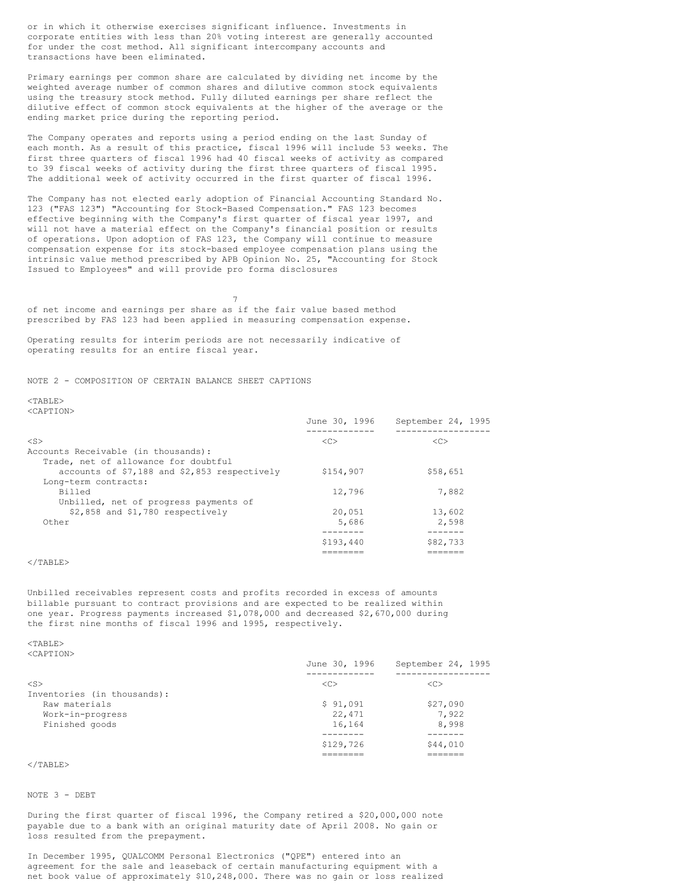or in which it otherwise exercises significant influence. Investments in corporate entities with less than 20% voting interest are generally accounted for under the cost method. All significant intercompany accounts and transactions have been eliminated.

Primary earnings per common share are calculated by dividing net income by the weighted average number of common shares and dilutive common stock equivalents using the treasury stock method. Fully diluted earnings per share reflect the dilutive effect of common stock equivalents at the higher of the average or the ending market price during the reporting period.

The Company operates and reports using a period ending on the last Sunday of each month. As a result of this practice, fiscal 1996 will include 53 weeks. The first three quarters of fiscal 1996 had 40 fiscal weeks of activity as compared to 39 fiscal weeks of activity during the first three quarters of fiscal 1995. The additional week of activity occurred in the first quarter of fiscal 1996.

The Company has not elected early adoption of Financial Accounting Standard No. 123 ("FAS 123") "Accounting for Stock-Based Compensation." FAS 123 becomes effective beginning with the Company's first quarter of fiscal year 1997, and will not have a material effect on the Company's financial position or results of operations. Upon adoption of FAS 123, the Company will continue to measure compensation expense for its stock-based employee compensation plans using the intrinsic value method prescribed by APB Opinion No. 25, "Accounting for Stock Issued to Employees" and will provide pro forma disclosures

7 of net income and earnings per share as if the fair value based method prescribed by FAS 123 had been applied in measuring compensation expense.

Operating results for interim periods are not necessarily indicative of operating results for an entire fiscal year.

NOTE 2 - COMPOSITION OF CERTAIN BALANCE SHEET CAPTIONS

# $<$ TABLE>

<CAPTION>

|                                              | June 30, 1996 | September 24, 1995 |
|----------------------------------------------|---------------|--------------------|
|                                              |               |                    |
| $<$ S $>$                                    | < <sub></sub> | <<                 |
| Accounts Receivable (in thousands):          |               |                    |
| Trade, net of allowance for doubtful         |               |                    |
| accounts of \$7,188 and \$2,853 respectively | \$154,907     | \$58,651           |
| Long-term contracts:                         |               |                    |
| Billed                                       | 12,796        | 7,882              |
| Unbilled, net of progress payments of        |               |                    |
| \$2,858 and \$1,780 respectively             | 20,051        | 13,602             |
| Other                                        | 5,686         | 2,598              |
|                                              |               |                    |
|                                              | \$193,440     | \$82,733           |
|                                              |               |                    |

## $\langle$ /TABLE>

Unbilled receivables represent costs and profits recorded in excess of amounts billable pursuant to contract provisions and are expected to be realized within one year. Progress payments increased \$1,078,000 and decreased \$2,670,000 during the first nine months of fiscal 1996 and 1995, respectively.

<TABLE> <CAPTION>

|                             | June 30, 1996       | September 24, 1995 |
|-----------------------------|---------------------|--------------------|
|                             |                     |                    |
| $<$ S $>$                   | $\langle C \rangle$ | < <sub></sub>      |
| Inventories (in thousands): |                     |                    |
| Raw materials               | \$91,091            | \$27,090           |
| Work-in-progress            | 22,471              | 7,922              |
| Finished goods              | 16,164              | 8,998              |
|                             |                     |                    |
|                             | \$129,726           | \$44,010           |
|                             |                     |                    |

# $\langle$ /TABLE>

NOTE 3 - DEBT

During the first quarter of fiscal 1996, the Company retired a \$20,000,000 note payable due to a bank with an original maturity date of April 2008. No gain or loss resulted from the prepayment.

In December 1995, QUALCOMM Personal Electronics ("QPE") entered into an agreement for the sale and leaseback of certain manufacturing equipment with a net book value of approximately \$10,248,000. There was no gain or loss realized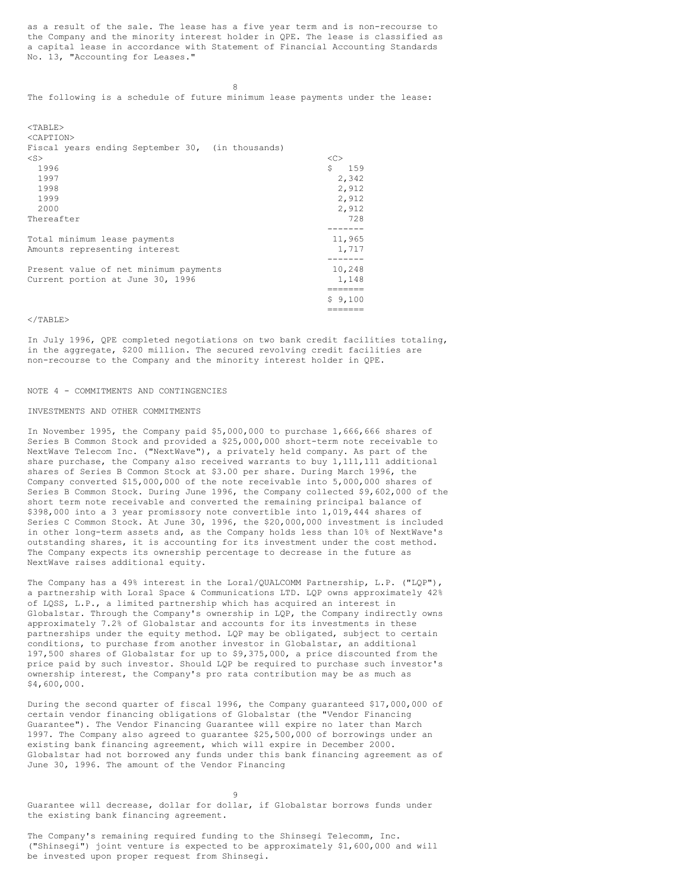as a result of the sale. The lease has a five year term and is non-recourse to the Company and the minority interest holder in QPE. The lease is classified as a capital lease in accordance with Statement of Financial Accounting Standards No. 13, "Accounting for Leases."

8

The following is a schedule of future minimum lease payments under the lease:

| $<$ TABLE><br><caption></caption>                |               |
|--------------------------------------------------|---------------|
| Fiscal years ending September 30, (in thousands) |               |
| $<$ S $>$                                        | < <sub></sub> |
| 1996                                             | Ŝ.<br>159     |
| 1997                                             | 2,342         |
| 1998                                             | 2,912         |
| 1999                                             | 2,912         |
| 2000                                             | 2,912         |
| Thereafter                                       | 728           |
|                                                  | ------        |
| Total minimum lease payments                     | 11,965        |
| Amounts representing interest                    | 1,717         |
|                                                  | -------       |
| Present value of net minimum payments            | 10,248        |
| Current portion at June 30, 1996                 | 1,148         |
|                                                  |               |
|                                                  | \$9,100       |

## $<$ /TABLE>

In July 1996, QPE completed negotiations on two bank credit facilities totaling, in the aggregate, \$200 million. The secured revolving credit facilities are non-recourse to the Company and the minority interest holder in QPE.

=======

#### NOTE 4 - COMMITMENTS AND CONTINGENCIES

#### INVESTMENTS AND OTHER COMMITMENTS

In November 1995, the Company paid \$5,000,000 to purchase 1,666,666 shares of Series B Common Stock and provided a \$25,000,000 short-term note receivable to NextWave Telecom Inc. ("NextWave"), a privately held company. As part of the share purchase, the Company also received warrants to buy 1,111,111 additional shares of Series B Common Stock at \$3.00 per share. During March 1996, the Company converted \$15,000,000 of the note receivable into 5,000,000 shares of Series B Common Stock. During June 1996, the Company collected \$9,602,000 of the short term note receivable and converted the remaining principal balance of \$398,000 into a 3 year promissory note convertible into 1,019,444 shares of Series C Common Stock. At June 30, 1996, the \$20,000,000 investment is included in other long-term assets and, as the Company holds less than 10% of NextWave's outstanding shares, it is accounting for its investment under the cost method. The Company expects its ownership percentage to decrease in the future as NextWave raises additional equity.

The Company has a 49% interest in the Loral/QUALCOMM Partnership, L.P. ("LQP"), a partnership with Loral Space & Communications LTD. LQP owns approximately 42% of LQSS, L.P., a limited partnership which has acquired an interest in Globalstar. Through the Company's ownership in LQP, the Company indirectly owns approximately 7.2% of Globalstar and accounts for its investments in these partnerships under the equity method. LQP may be obligated, subject to certain conditions, to purchase from another investor in Globalstar, an additional 197,500 shares of Globalstar for up to \$9,375,000, a price discounted from the price paid by such investor. Should LQP be required to purchase such investor's ownership interest, the Company's pro rata contribution may be as much as \$4,600,000.

During the second quarter of fiscal 1996, the Company guaranteed \$17,000,000 of certain vendor financing obligations of Globalstar (the "Vendor Financing Guarantee"). The Vendor Financing Guarantee will expire no later than March 1997. The Company also agreed to guarantee \$25,500,000 of borrowings under an existing bank financing agreement, which will expire in December 2000. Globalstar had not borrowed any funds under this bank financing agreement as of June 30, 1996. The amount of the Vendor Financing

9

Guarantee will decrease, dollar for dollar, if Globalstar borrows funds under the existing bank financing agreement.

The Company's remaining required funding to the Shinsegi Telecomm, Inc. ("Shinsegi") joint venture is expected to be approximately \$1,600,000 and will be invested upon proper request from Shinsegi.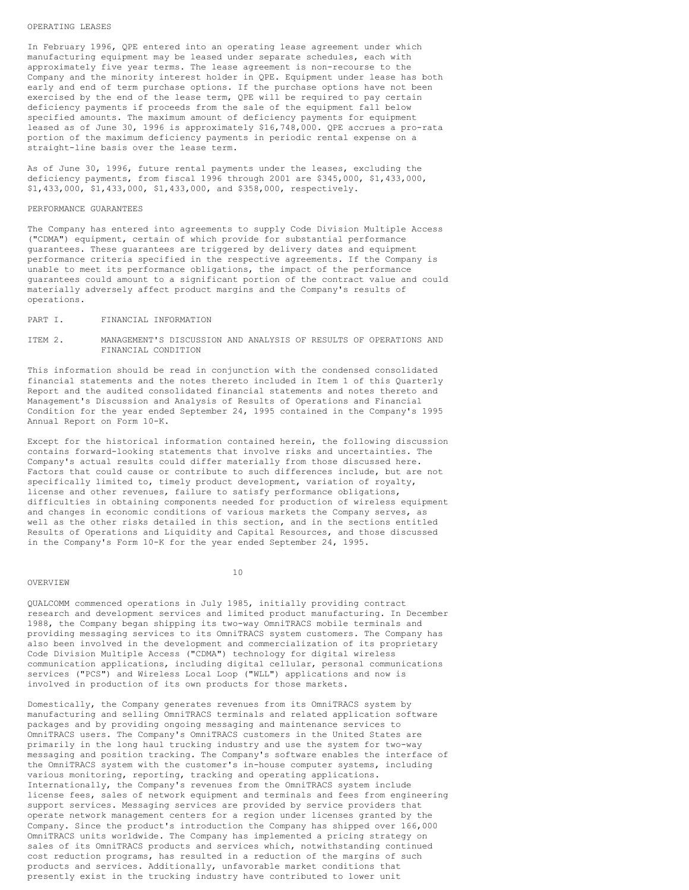#### OPERATING LEASES

In February 1996, QPE entered into an operating lease agreement under which manufacturing equipment may be leased under separate schedules, each with approximately five year terms. The lease agreement is non-recourse to the Company and the minority interest holder in QPE. Equipment under lease has both early and end of term purchase options. If the purchase options have not been exercised by the end of the lease term, QPE will be required to pay certain deficiency payments if proceeds from the sale of the equipment fall below specified amounts. The maximum amount of deficiency payments for equipment leased as of June 30, 1996 is approximately \$16,748,000. QPE accrues a pro-rata portion of the maximum deficiency payments in periodic rental expense on a straight-line basis over the lease term.

As of June 30, 1996, future rental payments under the leases, excluding the deficiency payments, from fiscal 1996 through 2001 are \$345,000, \$1,433,000, \$1,433,000, \$1,433,000, \$1,433,000, and \$358,000, respectively.

### PERFORMANCE GUARANTEES

The Company has entered into agreements to supply Code Division Multiple Access ("CDMA") equipment, certain of which provide for substantial performance guarantees. These guarantees are triggered by delivery dates and equipment performance criteria specified in the respective agreements. If the Company is unable to meet its performance obligations, the impact of the performance guarantees could amount to a significant portion of the contract value and could materially adversely affect product margins and the Company's results of operations.

#### PART I. FINANCIAL INFORMATION

## ITEM 2. MANAGEMENT'S DISCUSSION AND ANALYSIS OF RESULTS OF OPERATIONS AND FINANCIAL CONDITION

This information should be read in conjunction with the condensed consolidated financial statements and the notes thereto included in Item 1 of this Quarterly Report and the audited consolidated financial statements and notes thereto and Management's Discussion and Analysis of Results of Operations and Financial Condition for the year ended September 24, 1995 contained in the Company's 1995 Annual Report on Form 10-K.

Except for the historical information contained herein, the following discussion contains forward-looking statements that involve risks and uncertainties. The Company's actual results could differ materially from those discussed here. Factors that could cause or contribute to such differences include, but are not specifically limited to, timely product development, variation of royalty, license and other revenues, failure to satisfy performance obligations, difficulties in obtaining components needed for production of wireless equipment and changes in economic conditions of various markets the Company serves, as well as the other risks detailed in this section, and in the sections entitled Results of Operations and Liquidity and Capital Resources, and those discussed in the Company's Form 10-K for the year ended September 24, 1995.

#### OVERVIEW

10

QUALCOMM commenced operations in July 1985, initially providing contract research and development services and limited product manufacturing. In December 1988, the Company began shipping its two-way OmniTRACS mobile terminals and providing messaging services to its OmniTRACS system customers. The Company has also been involved in the development and commercialization of its proprietary Code Division Multiple Access ("CDMA") technology for digital wireless communication applications, including digital cellular, personal communications services ("PCS") and Wireless Local Loop ("WLL") applications and now is involved in production of its own products for those markets.

Domestically, the Company generates revenues from its OmniTRACS system by manufacturing and selling OmniTRACS terminals and related application software packages and by providing ongoing messaging and maintenance services to OmniTRACS users. The Company's OmniTRACS customers in the United States are primarily in the long haul trucking industry and use the system for two-way messaging and position tracking. The Company's software enables the interface of the OmniTRACS system with the customer's in-house computer systems, including various monitoring, reporting, tracking and operating applications. Internationally, the Company's revenues from the OmniTRACS system include license fees, sales of network equipment and terminals and fees from engineering support services. Messaging services are provided by service providers that operate network management centers for a region under licenses granted by the Company. Since the product's introduction the Company has shipped over 166,000 OmniTRACS units worldwide. The Company has implemented a pricing strategy on sales of its OmniTRACS products and services which, notwithstanding continued cost reduction programs, has resulted in a reduction of the margins of such products and services. Additionally, unfavorable market conditions that presently exist in the trucking industry have contributed to lower unit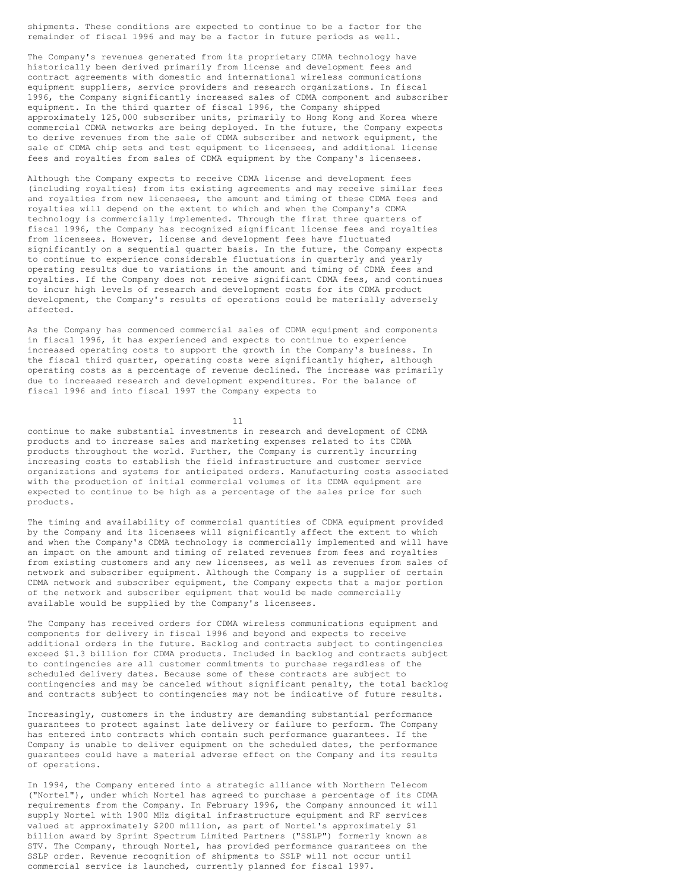shipments. These conditions are expected to continue to be a factor for the remainder of fiscal 1996 and may be a factor in future periods as well.

The Company's revenues generated from its proprietary CDMA technology have historically been derived primarily from license and development fees and contract agreements with domestic and international wireless communications equipment suppliers, service providers and research organizations. In fiscal 1996, the Company significantly increased sales of CDMA component and subscriber equipment. In the third quarter of fiscal 1996, the Company shipped approximately 125,000 subscriber units, primarily to Hong Kong and Korea where commercial CDMA networks are being deployed. In the future, the Company expects to derive revenues from the sale of CDMA subscriber and network equipment, the sale of CDMA chip sets and test equipment to licensees, and additional license fees and royalties from sales of CDMA equipment by the Company's licensees.

Although the Company expects to receive CDMA license and development fees (including royalties) from its existing agreements and may receive similar fees and royalties from new licensees, the amount and timing of these CDMA fees and royalties will depend on the extent to which and when the Company's CDMA technology is commercially implemented. Through the first three quarters of fiscal 1996, the Company has recognized significant license fees and royalties from licensees. However, license and development fees have fluctuated significantly on a sequential quarter basis. In the future, the Company expects to continue to experience considerable fluctuations in quarterly and yearly operating results due to variations in the amount and timing of CDMA fees and royalties. If the Company does not receive significant CDMA fees, and continues to incur high levels of research and development costs for its CDMA product development, the Company's results of operations could be materially adversely affected.

As the Company has commenced commercial sales of CDMA equipment and components in fiscal 1996, it has experienced and expects to continue to experience increased operating costs to support the growth in the Company's business. In the fiscal third quarter, operating costs were significantly higher, although operating costs as a percentage of revenue declined. The increase was primarily due to increased research and development expenditures. For the balance of fiscal 1996 and into fiscal 1997 the Company expects to

11

continue to make substantial investments in research and development of CDMA products and to increase sales and marketing expenses related to its CDMA products throughout the world. Further, the Company is currently incurring increasing costs to establish the field infrastructure and customer service organizations and systems for anticipated orders. Manufacturing costs associated with the production of initial commercial volumes of its CDMA equipment are expected to continue to be high as a percentage of the sales price for such products.

The timing and availability of commercial quantities of CDMA equipment provided by the Company and its licensees will significantly affect the extent to which and when the Company's CDMA technology is commercially implemented and will have an impact on the amount and timing of related revenues from fees and royalties from existing customers and any new licensees, as well as revenues from sales of network and subscriber equipment. Although the Company is a supplier of certain CDMA network and subscriber equipment, the Company expects that a major portion of the network and subscriber equipment that would be made commercially available would be supplied by the Company's licensees.

The Company has received orders for CDMA wireless communications equipment and components for delivery in fiscal 1996 and beyond and expects to receive additional orders in the future. Backlog and contracts subject to contingencies exceed \$1.3 billion for CDMA products. Included in backlog and contracts subject to contingencies are all customer commitments to purchase regardless of the scheduled delivery dates. Because some of these contracts are subject to contingencies and may be canceled without significant penalty, the total backlog and contracts subject to contingencies may not be indicative of future results.

Increasingly, customers in the industry are demanding substantial performance guarantees to protect against late delivery or failure to perform. The Company has entered into contracts which contain such performance guarantees. If the Company is unable to deliver equipment on the scheduled dates, the performance guarantees could have a material adverse effect on the Company and its results of operations.

In 1994, the Company entered into a strategic alliance with Northern Telecom ("Nortel"), under which Nortel has agreed to purchase a percentage of its CDMA requirements from the Company. In February 1996, the Company announced it will supply Nortel with 1900 MHz digital infrastructure equipment and RF services valued at approximately \$200 million, as part of Nortel's approximately \$1 billion award by Sprint Spectrum Limited Partners ("SSLP") formerly known as STV. The Company, through Nortel, has provided performance guarantees on the SSLP order. Revenue recognition of shipments to SSLP will not occur until commercial service is launched, currently planned for fiscal 1997.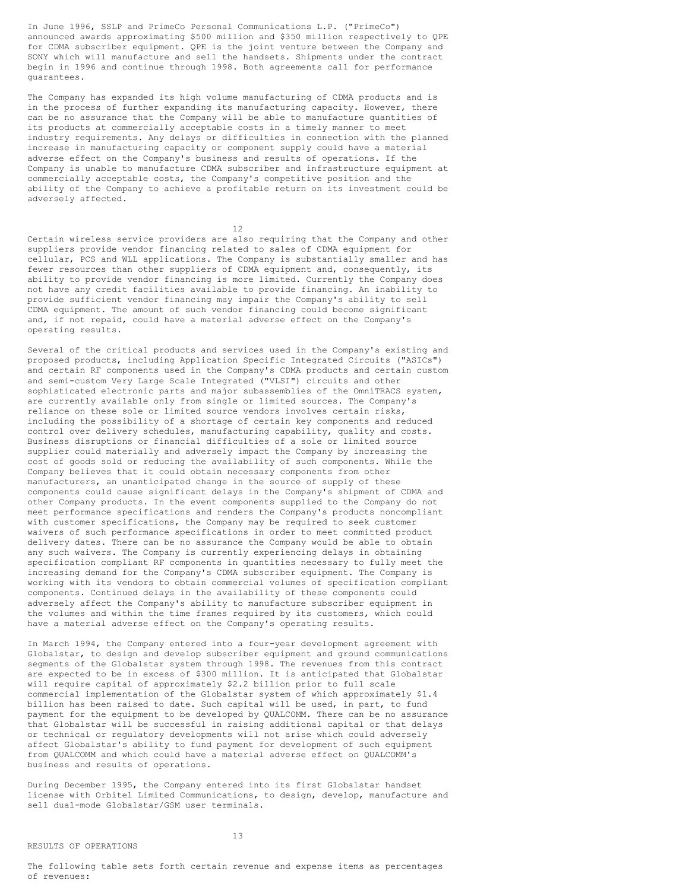In June 1996, SSLP and PrimeCo Personal Communications L.P. ("PrimeCo") announced awards approximating \$500 million and \$350 million respectively to QPE for CDMA subscriber equipment. QPE is the joint venture between the Company and SONY which will manufacture and sell the handsets. Shipments under the contract begin in 1996 and continue through 1998. Both agreements call for performance guarantees.

The Company has expanded its high volume manufacturing of CDMA products and is in the process of further expanding its manufacturing capacity. However, there can be no assurance that the Company will be able to manufacture quantities of its products at commercially acceptable costs in a timely manner to meet industry requirements. Any delays or difficulties in connection with the planned increase in manufacturing capacity or component supply could have a material adverse effect on the Company's business and results of operations. If the Company is unable to manufacture CDMA subscriber and infrastructure equipment at commercially acceptable costs, the Company's competitive position and the ability of the Company to achieve a profitable return on its investment could be adversely affected.

12

Certain wireless service providers are also requiring that the Company and other suppliers provide vendor financing related to sales of CDMA equipment for cellular, PCS and WLL applications. The Company is substantially smaller and has fewer resources than other suppliers of CDMA equipment and, consequently, its ability to provide vendor financing is more limited. Currently the Company does not have any credit facilities available to provide financing. An inability to provide sufficient vendor financing may impair the Company's ability to sell CDMA equipment. The amount of such vendor financing could become significant and, if not repaid, could have a material adverse effect on the Company's operating results.

Several of the critical products and services used in the Company's existing and proposed products, including Application Specific Integrated Circuits ("ASICs") and certain RF components used in the Company's CDMA products and certain custom and semi-custom Very Large Scale Integrated ("VLSI") circuits and other sophisticated electronic parts and major subassemblies of the OmniTRACS system, are currently available only from single or limited sources. The Company's reliance on these sole or limited source vendors involves certain risks, including the possibility of a shortage of certain key components and reduced control over delivery schedules, manufacturing capability, quality and costs. Business disruptions or financial difficulties of a sole or limited source supplier could materially and adversely impact the Company by increasing the cost of goods sold or reducing the availability of such components. While the Company believes that it could obtain necessary components from other manufacturers, an unanticipated change in the source of supply of these components could cause significant delays in the Company's shipment of CDMA and other Company products. In the event components supplied to the Company do not meet performance specifications and renders the Company's products noncompliant with customer specifications, the Company may be required to seek customer waivers of such performance specifications in order to meet committed product delivery dates. There can be no assurance the Company would be able to obtain any such waivers. The Company is currently experiencing delays in obtaining specification compliant RF components in quantities necessary to fully meet the increasing demand for the Company's CDMA subscriber equipment. The Company is working with its vendors to obtain commercial volumes of specification compliant components. Continued delays in the availability of these components could adversely affect the Company's ability to manufacture subscriber equipment in the volumes and within the time frames required by its customers, which could have a material adverse effect on the Company's operating results.

In March 1994, the Company entered into a four-year development agreement with Globalstar, to design and develop subscriber equipment and ground communications segments of the Globalstar system through 1998. The revenues from this contract are expected to be in excess of \$300 million. It is anticipated that Globalstar will require capital of approximately \$2.2 billion prior to full scale commercial implementation of the Globalstar system of which approximately \$1.4 billion has been raised to date. Such capital will be used, in part, to fund payment for the equipment to be developed by QUALCOMM. There can be no assurance that Globalstar will be successful in raising additional capital or that delays or technical or regulatory developments will not arise which could adversely affect Globalstar's ability to fund payment for development of such equipment from QUALCOMM and which could have a material adverse effect on QUALCOMM's business and results of operations.

During December 1995, the Company entered into its first Globalstar handset license with Orbitel Limited Communications, to design, develop, manufacture and sell dual-mode Globalstar/GSM user terminals.

The following table sets forth certain revenue and expense items as percentages of revenues: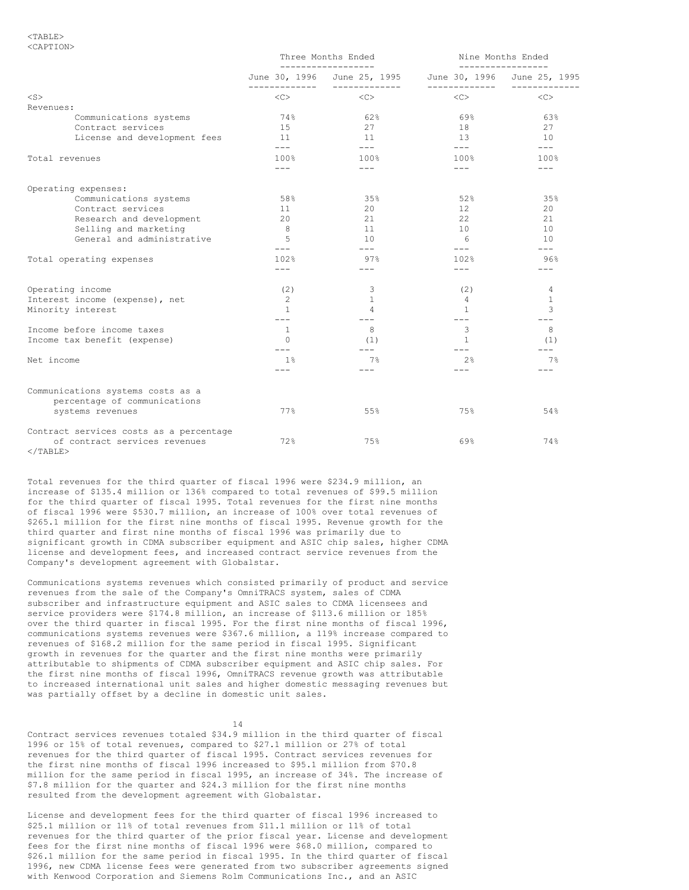#### $<$ TABLE> <CAPTION>

|                                                  | Three Months Ended<br>--------------- |                                              | Nine Months Ended                | -----------------                         |
|--------------------------------------------------|---------------------------------------|----------------------------------------------|----------------------------------|-------------------------------------------|
|                                                  |                                       | June 30, 1996 June 25, 1995<br>------------- | --------------                   | June 30, 1996 June 25, 1995<br>---------- |
| $<$ S $>$                                        | $<\infty$                             | <<                                           | $<<$ $>$                         | $<\infty$                                 |
| Revenues:                                        |                                       |                                              |                                  |                                           |
| Communications systems                           | 74%                                   | 62%                                          | 69%                              | 63%                                       |
| Contract services                                | 15                                    | 27                                           | 18                               | 27                                        |
| License and development fees                     | 11<br>$\frac{1}{2}$                   | 11<br>$\frac{1}{2}$                          | 13 <sup>7</sup><br>$\frac{1}{2}$ | 10<br>$- - -$                             |
| Total revenues                                   | 100%                                  | 100%                                         | 100%                             | 100%                                      |
|                                                  | $---$                                 | $---$                                        | $---$                            | $---$                                     |
| Operating expenses:                              |                                       |                                              |                                  |                                           |
| Communications systems                           | 58%                                   | 35%                                          | 52%                              | 35%                                       |
| Contract services                                | 11                                    | 20                                           | 12 <sup>°</sup>                  | 20                                        |
| Research and development                         | 20                                    | 21                                           | 22                               | 21                                        |
| Selling and marketing                            | 8                                     | 11                                           | 10 <sup>°</sup>                  | 10                                        |
| General and administrative                       | 5                                     | 10                                           | 6                                | 10                                        |
| Total operating expenses                         | $---$<br>102%                         | $---$<br>97%                                 | $---$<br>102%                    | $---$<br>96%                              |
|                                                  | $---$                                 | $---$                                        | $---$                            | $---$                                     |
| Operating income                                 | (2)                                   | 3                                            | (2)                              | 4                                         |
| Interest income (expense), net                   | 2                                     | $\mathbf{1}$                                 | $\overline{4}$                   | $\mathbf{1}$                              |
| Minority interest                                | $\mathbf{1}$<br>$---$                 | 4<br>$---$                                   | $\mathbf{1}$<br>$---$            | 3<br>$---$                                |
| Income before income taxes                       | $\mathbf{1}$                          | 8                                            | 3                                | 8                                         |
| Income tax benefit (expense)                     | $\Omega$                              | (1)                                          | $\mathbf{1}$                     | (1)                                       |
|                                                  |                                       | $---$                                        |                                  | $---$                                     |
| Net income                                       | 1 <sub>8</sub>                        | 7%                                           | 2.8<br>$- - -$                   | $7\%$                                     |
| Communications systems costs as a                |                                       |                                              |                                  |                                           |
| percentage of communications<br>systems revenues | 77%                                   | 55%                                          | 75%                              | 54%                                       |
| Contract services costs as a percentage          |                                       |                                              |                                  |                                           |
| of contract services revenues                    | 72%                                   | 75%                                          | 69%                              | 74%                                       |

 $<$ /TABLE>

Total revenues for the third quarter of fiscal 1996 were \$234.9 million, an increase of \$135.4 million or 136% compared to total revenues of \$99.5 million for the third quarter of fiscal 1995. Total revenues for the first nine months of fiscal 1996 were \$530.7 million, an increase of 100% over total revenues of \$265.1 million for the first nine months of fiscal 1995. Revenue growth for the third quarter and first nine months of fiscal 1996 was primarily due to significant growth in CDMA subscriber equipment and ASIC chip sales, higher CDMA license and development fees, and increased contract service revenues from the Company's development agreement with Globalstar.

Communications systems revenues which consisted primarily of product and service revenues from the sale of the Company's OmniTRACS system, sales of CDMA subscriber and infrastructure equipment and ASIC sales to CDMA licensees and service providers were \$174.8 million, an increase of \$113.6 million or 185% over the third quarter in fiscal 1995. For the first nine months of fiscal 1996, communications systems revenues were \$367.6 million, a 119% increase compared to revenues of \$168.2 million for the same period in fiscal 1995. Significant growth in revenues for the quarter and the first nine months were primarily attributable to shipments of CDMA subscriber equipment and ASIC chip sales. For the first nine months of fiscal 1996, OmniTRACS revenue growth was attributable to increased international unit sales and higher domestic messaging revenues but was partially offset by a decline in domestic unit sales.

14

Contract services revenues totaled \$34.9 million in the third quarter of fiscal 1996 or 15% of total revenues, compared to \$27.1 million or 27% of total revenues for the third quarter of fiscal 1995. Contract services revenues for the first nine months of fiscal 1996 increased to \$95.1 million from \$70.8 million for the same period in fiscal 1995, an increase of 34%. The increase of \$7.8 million for the quarter and \$24.3 million for the first nine months resulted from the development agreement with Globalstar.

License and development fees for the third quarter of fiscal 1996 increased to \$25.1 million or 11% of total revenues from \$11.1 million or 11% of total revenues for the third quarter of the prior fiscal year. License and development fees for the first nine months of fiscal 1996 were \$68.0 million, compared to \$26.1 million for the same period in fiscal 1995. In the third quarter of fiscal 1996, new CDMA license fees were generated from two subscriber agreements signed with Kenwood Corporation and Siemens Rolm Communications Inc., and an ASIC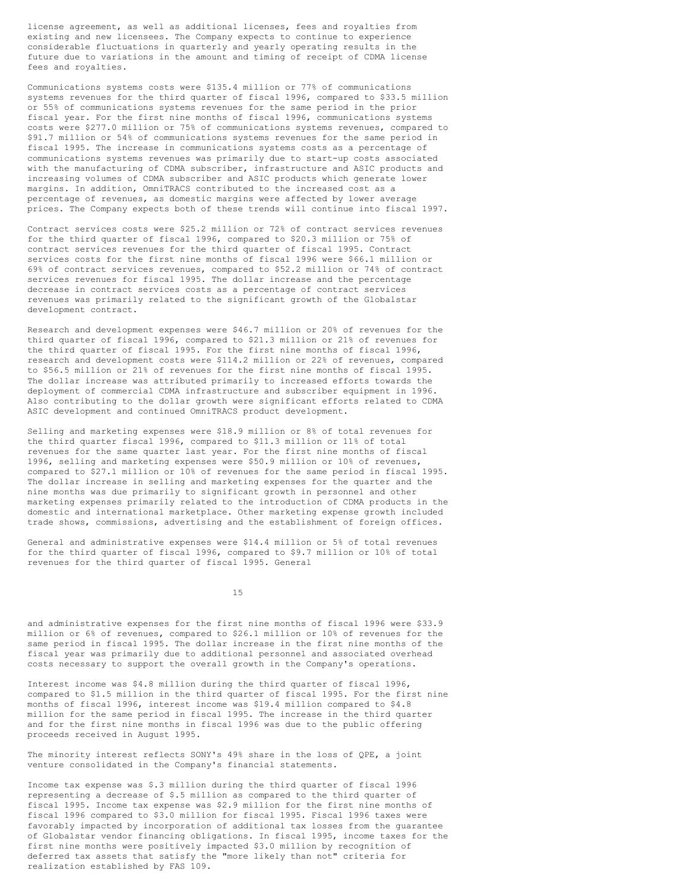license agreement, as well as additional licenses, fees and royalties from existing and new licensees. The Company expects to continue to experience considerable fluctuations in quarterly and yearly operating results in the future due to variations in the amount and timing of receipt of CDMA license fees and royalties.

Communications systems costs were \$135.4 million or 77% of communications systems revenues for the third quarter of fiscal 1996, compared to \$33.5 million or 55% of communications systems revenues for the same period in the prior fiscal year. For the first nine months of fiscal 1996, communications systems costs were \$277.0 million or 75% of communications systems revenues, compared to \$91.7 million or 54% of communications systems revenues for the same period in fiscal 1995. The increase in communications systems costs as a percentage of communications systems revenues was primarily due to start-up costs associated with the manufacturing of CDMA subscriber, infrastructure and ASIC products and increasing volumes of CDMA subscriber and ASIC products which generate lower margins. In addition, OmniTRACS contributed to the increased cost as a percentage of revenues, as domestic margins were affected by lower average prices. The Company expects both of these trends will continue into fiscal 1997.

Contract services costs were \$25.2 million or 72% of contract services revenues for the third quarter of fiscal 1996, compared to \$20.3 million or 75% of contract services revenues for the third quarter of fiscal 1995. Contract services costs for the first nine months of fiscal 1996 were \$66.1 million or 69% of contract services revenues, compared to \$52.2 million or 74% of contract services revenues for fiscal 1995. The dollar increase and the percentage decrease in contract services costs as a percentage of contract services revenues was primarily related to the significant growth of the Globalstar development contract.

Research and development expenses were \$46.7 million or 20% of revenues for the third quarter of fiscal 1996, compared to \$21.3 million or 21% of revenues for the third quarter of fiscal 1995. For the first nine months of fiscal 1996, research and development costs were \$114.2 million or 22% of revenues, compared to \$56.5 million or 21% of revenues for the first nine months of fiscal 1995. The dollar increase was attributed primarily to increased efforts towards the deployment of commercial CDMA infrastructure and subscriber equipment in 1996. Also contributing to the dollar growth were significant efforts related to CDMA ASIC development and continued OmniTRACS product development.

Selling and marketing expenses were \$18.9 million or 8% of total revenues for the third quarter fiscal 1996, compared to \$11.3 million or 11% of total revenues for the same quarter last year. For the first nine months of fiscal 1996, selling and marketing expenses were \$50.9 million or 10% of revenues, compared to \$27.1 million or 10% of revenues for the same period in fiscal 1995. The dollar increase in selling and marketing expenses for the quarter and the nine months was due primarily to significant growth in personnel and other marketing expenses primarily related to the introduction of CDMA products in the domestic and international marketplace. Other marketing expense growth included trade shows, commissions, advertising and the establishment of foreign offices.

General and administrative expenses were \$14.4 million or 5% of total revenues for the third quarter of fiscal 1996, compared to \$9.7 million or 10% of total revenues for the third quarter of fiscal 1995. General

15

and administrative expenses for the first nine months of fiscal 1996 were \$33.9 million or 6% of revenues, compared to \$26.1 million or 10% of revenues for the same period in fiscal 1995. The dollar increase in the first nine months of the fiscal year was primarily due to additional personnel and associated overhead costs necessary to support the overall growth in the Company's operations.

Interest income was \$4.8 million during the third quarter of fiscal 1996, compared to \$1.5 million in the third quarter of fiscal 1995. For the first nine months of fiscal 1996, interest income was \$19.4 million compared to \$4.8 million for the same period in fiscal 1995. The increase in the third quarter and for the first nine months in fiscal 1996 was due to the public offering proceeds received in August 1995.

The minority interest reflects SONY's 49% share in the loss of QPE, a joint venture consolidated in the Company's financial statements.

Income tax expense was \$.3 million during the third quarter of fiscal 1996 representing a decrease of \$.5 million as compared to the third quarter of fiscal 1995. Income tax expense was \$2.9 million for the first nine months of fiscal 1996 compared to \$3.0 million for fiscal 1995. Fiscal 1996 taxes were favorably impacted by incorporation of additional tax losses from the guarantee of Globalstar vendor financing obligations. In fiscal 1995, income taxes for the first nine months were positively impacted \$3.0 million by recognition of deferred tax assets that satisfy the "more likely than not" criteria for realization established by FAS 109.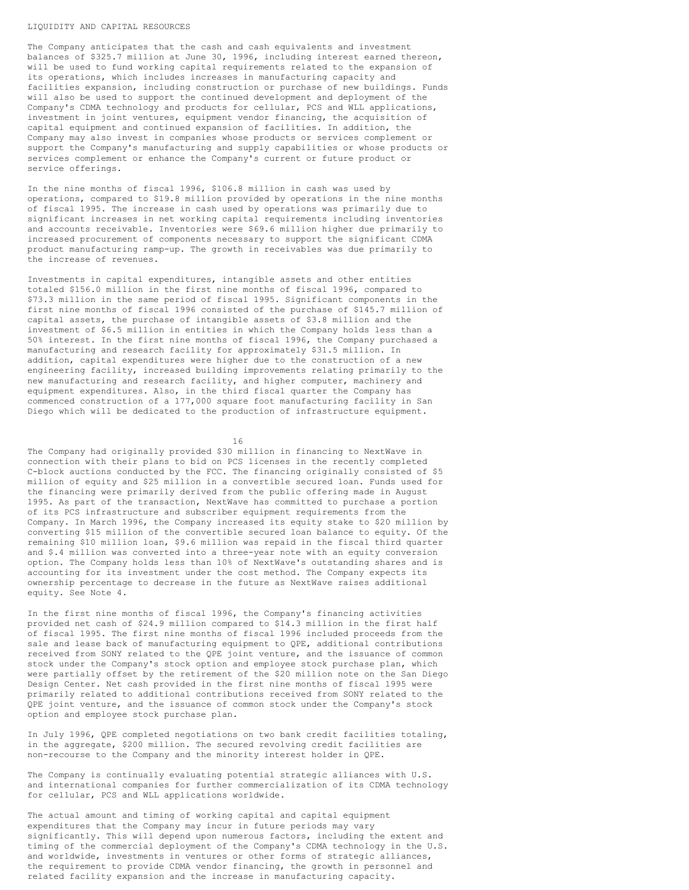#### LIQUIDITY AND CAPITAL RESOURCES

The Company anticipates that the cash and cash equivalents and investment balances of \$325.7 million at June 30, 1996, including interest earned thereon, will be used to fund working capital requirements related to the expansion of its operations, which includes increases in manufacturing capacity and facilities expansion, including construction or purchase of new buildings. Funds will also be used to support the continued development and deployment of the Company's CDMA technology and products for cellular, PCS and WLL applications, investment in joint ventures, equipment vendor financing, the acquisition of capital equipment and continued expansion of facilities. In addition, the Company may also invest in companies whose products or services complement or support the Company's manufacturing and supply capabilities or whose products or services complement or enhance the Company's current or future product or service offerings.

In the nine months of fiscal 1996, \$106.8 million in cash was used by operations, compared to \$19.8 million provided by operations in the nine months of fiscal 1995. The increase in cash used by operations was primarily due to significant increases in net working capital requirements including inventories and accounts receivable. Inventories were \$69.6 million higher due primarily to increased procurement of components necessary to support the significant CDMA product manufacturing ramp-up. The growth in receivables was due primarily to the increase of revenues.

Investments in capital expenditures, intangible assets and other entities totaled \$156.0 million in the first nine months of fiscal 1996, compared to \$73.3 million in the same period of fiscal 1995. Significant components in the first nine months of fiscal 1996 consisted of the purchase of \$145.7 million of capital assets, the purchase of intangible assets of \$3.8 million and the investment of \$6.5 million in entities in which the Company holds less than a 50% interest. In the first nine months of fiscal 1996, the Company purchased a manufacturing and research facility for approximately \$31.5 million. In addition, capital expenditures were higher due to the construction of a new engineering facility, increased building improvements relating primarily to the new manufacturing and research facility, and higher computer, machinery and equipment expenditures. Also, in the third fiscal quarter the Company has commenced construction of a 177,000 square foot manufacturing facility in San Diego which will be dedicated to the production of infrastructure equipment.

16

The Company had originally provided \$30 million in financing to NextWave in connection with their plans to bid on PCS licenses in the recently completed C-block auctions conducted by the FCC. The financing originally consisted of \$5 million of equity and \$25 million in a convertible secured loan. Funds used for the financing were primarily derived from the public offering made in August 1995. As part of the transaction, NextWave has committed to purchase a portion of its PCS infrastructure and subscriber equipment requirements from the Company. In March 1996, the Company increased its equity stake to \$20 million by converting \$15 million of the convertible secured loan balance to equity. Of the remaining \$10 million loan, \$9.6 million was repaid in the fiscal third quarter and \$.4 million was converted into a three-year note with an equity conversion option. The Company holds less than 10% of NextWave's outstanding shares and is accounting for its investment under the cost method. The Company expects its ownership percentage to decrease in the future as NextWave raises additional equity. See Note 4.

In the first nine months of fiscal 1996, the Company's financing activities provided net cash of \$24.9 million compared to \$14.3 million in the first half of fiscal 1995. The first nine months of fiscal 1996 included proceeds from the sale and lease back of manufacturing equipment to QPE, additional contributions received from SONY related to the QPE joint venture, and the issuance of common stock under the Company's stock option and employee stock purchase plan, which were partially offset by the retirement of the \$20 million note on the San Diego Design Center. Net cash provided in the first nine months of fiscal 1995 were primarily related to additional contributions received from SONY related to the QPE joint venture, and the issuance of common stock under the Company's stock option and employee stock purchase plan.

In July 1996, QPE completed negotiations on two bank credit facilities totaling, in the aggregate, \$200 million. The secured revolving credit facilities are non-recourse to the Company and the minority interest holder in QPE.

The Company is continually evaluating potential strategic alliances with U.S. and international companies for further commercialization of its CDMA technology for cellular, PCS and WLL applications worldwide.

The actual amount and timing of working capital and capital equipment expenditures that the Company may incur in future periods may vary significantly. This will depend upon numerous factors, including the extent and timing of the commercial deployment of the Company's CDMA technology in the U.S. and worldwide, investments in ventures or other forms of strategic alliances, the requirement to provide CDMA vendor financing, the growth in personnel and related facility expansion and the increase in manufacturing capacity.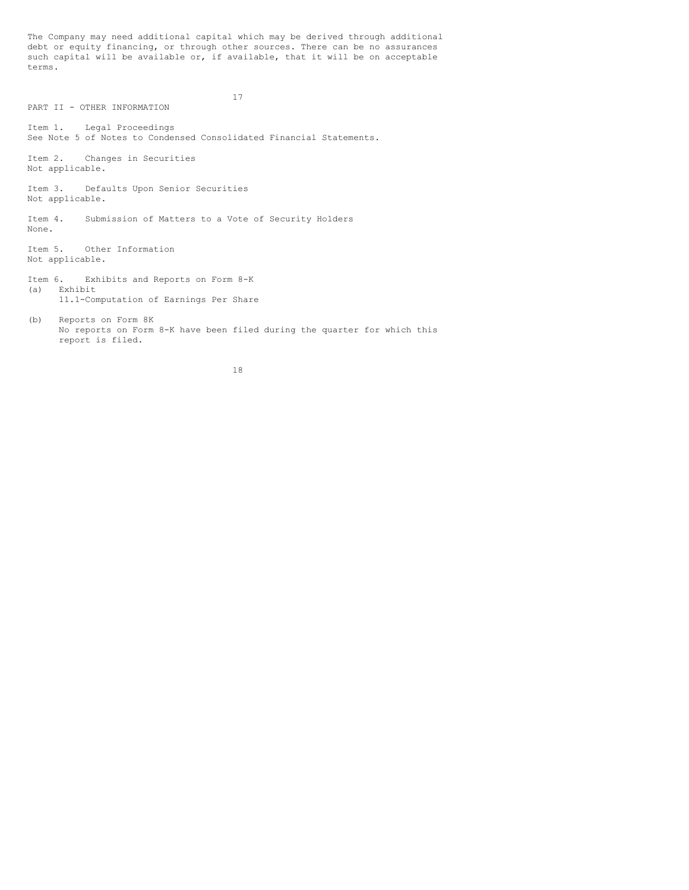The Company may need additional capital which may be derived through additional debt or equity financing, or through other sources. There can be no assurances such capital will be available or, if available, that it will be on acceptable terms.

17

PART II - OTHER INFORMATION Item 1. Legal Proceedings See Note 5 of Notes to Condensed Consolidated Financial Statements. Item 2. Changes in Securities Not applicable. Item 3. Defaults Upon Senior Securities Not applicable. Item 4. Submission of Matters to a Vote of Security Holders None. Item 5. Other Information Not applicable. Item 6. Exhibits and Reports on Form 8-K (a) Exhibit 11.1-Computation of Earnings Per Share (b) Reports on Form 8K No reports on Form 8-K have been filed during the quarter for which this report is filed.

18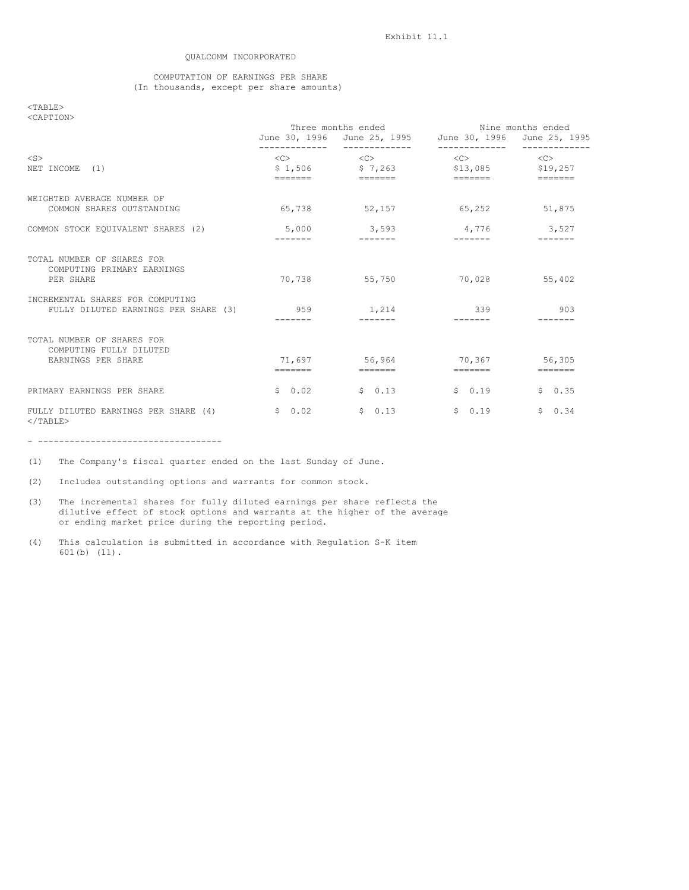## QUALCOMM INCORPORATED

## COMPUTATION OF EARNINGS PER SHARE (In thousands, except per share amounts)

## <TABLE> <CAPTION>

| SUAPTIUN2                                                                   | Three months ended<br>June 30, 1996 June 25, 1995 June 30, 1996 June 25, 1995 |                                                                                                                                                                                                                                                                                                                                                                                                                                                                                                                                                                                           | Nine months ended              |                 |
|-----------------------------------------------------------------------------|-------------------------------------------------------------------------------|-------------------------------------------------------------------------------------------------------------------------------------------------------------------------------------------------------------------------------------------------------------------------------------------------------------------------------------------------------------------------------------------------------------------------------------------------------------------------------------------------------------------------------------------------------------------------------------------|--------------------------------|-----------------|
| $<$ S $>$<br>NET INCOME (1)                                                 |                                                                               | $\langle C \rangle$ $\langle C \rangle$<br>$$1,506$ $$7,263$ $$13,085$ $$19,257$<br>------- - ------                                                                                                                                                                                                                                                                                                                                                                                                                                                                                      | $\langle C \rangle$            | < <c></c>       |
| WEIGHTED AVERAGE NUMBER OF<br>COMMON SHARES OUTSTANDING                     |                                                                               | 65,738 52,157                                                                                                                                                                                                                                                                                                                                                                                                                                                                                                                                                                             | 65, 252                        | 51,875          |
| COMMON STOCK EQUIVALENT SHARES (2)                                          | --------                                                                      | $5,000$ 3,593                                                                                                                                                                                                                                                                                                                                                                                                                                                                                                                                                                             | 4,776 3,527<br>$- - - - - - -$ | $- - - - - - -$ |
| TOTAL NUMBER OF SHARES FOR<br>COMPUTING PRIMARY EARNINGS<br>PER SHARE       |                                                                               | 70,738 55,750                                                                                                                                                                                                                                                                                                                                                                                                                                                                                                                                                                             | 70,028                         | 55,402          |
| INCREMENTAL SHARES FOR COMPUTING<br>FULLY DILUTED EARNINGS PER SHARE (3)    | 959                                                                           | 1,214                                                                                                                                                                                                                                                                                                                                                                                                                                                                                                                                                                                     | 339                            | 903             |
| TOTAL NUMBER OF SHARES FOR<br>COMPUTING FULLY DILUTED<br>EARNINGS PER SHARE |                                                                               | 71.697 56.964 70.367 56.305<br>$\begin{tabular}{ll} \multicolumn{3}{l}{{\color{red}\boldsymbol{=}}} & \multicolumn{3}{l}{\color{blue}\boldsymbol{=}} & \multicolumn{3}{l}{\color{blue}\boldsymbol{=}} & \multicolumn{3}{l}{\color{blue}\boldsymbol{=}} & \multicolumn{3}{l}{\color{blue}\boldsymbol{=}} & \multicolumn{3}{l}{\color{blue}\boldsymbol{=}} & \multicolumn{3}{l}{\color{blue}\boldsymbol{=}} & \multicolumn{3}{l}{\color{blue}\boldsymbol{=}} & \multicolumn{3}{l}{\color{blue}\boldsymbol{=}} & \multicolumn{3}{l}{\color{blue}\boldsymbol{=}} & \multicolumn{3}{l}{\color$ |                                |                 |
| PRIMARY EARNINGS PER SHARE                                                  | 50.02                                                                         | \$0.13                                                                                                                                                                                                                                                                                                                                                                                                                                                                                                                                                                                    | 50.19                          | \$0.35          |
| FULLY DILUTED EARNINGS PER SHARE (4)<br>$<$ /TABLE>                         | \$0.02                                                                        | \$0.13                                                                                                                                                                                                                                                                                                                                                                                                                                                                                                                                                                                    | \$0.19                         | 50.34           |

- -----------------------------------

(1) The Company's fiscal quarter ended on the last Sunday of June.

(2) Includes outstanding options and warrants for common stock.

- (3) The incremental shares for fully diluted earnings per share reflects the dilutive effect of stock options and warrants at the higher of the average or ending market price during the reporting period.
- (4) This calculation is submitted in accordance with Regulation S-K item 601(b) (11).